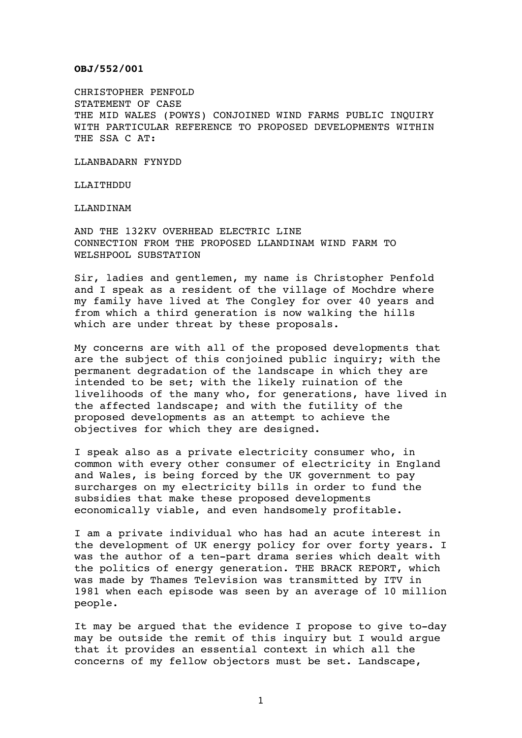## **OBJ/552/001**

CHRISTOPHER PENFOLD STATEMENT OF CASE THE MID WALES (POWYS) CONJOINED WIND FARMS PUBLIC INQUIRY WITH PARTICULAR REFERENCE TO PROPOSED DEVELOPMENTS WITHIN THE SSA C AT:

LLANBADARN FYNYDD

LLAITHDDU

LLANDINAM

AND THE 132KV OVERHEAD ELECTRIC LINE CONNECTION FROM THE PROPOSED LLANDINAM WIND FARM TO WELSHPOOL SUBSTATION

Sir, ladies and gentlemen, my name is Christopher Penfold and I speak as a resident of the village of Mochdre where my family have lived at The Congley for over 40 years and from which a third generation is now walking the hills which are under threat by these proposals.

My concerns are with all of the proposed developments that are the subject of this conjoined public inquiry; with the permanent degradation of the landscape in which they are intended to be set; with the likely ruination of the livelihoods of the many who, for generations, have lived in the affected landscape; and with the futility of the proposed developments as an attempt to achieve the objectives for which they are designed.

I speak also as a private electricity consumer who, in common with every other consumer of electricity in England and Wales, is being forced by the UK government to pay surcharges on my electricity bills in order to fund the subsidies that make these proposed developments economically viable, and even handsomely profitable.

I am a private individual who has had an acute interest in the development of UK energy policy for over forty years. I was the author of a ten-part drama series which dealt with the politics of energy generation. THE BRACK REPORT, which was made by Thames Television was transmitted by ITV in 1981 when each episode was seen by an average of 10 million people.

It may be argued that the evidence I propose to give to-day may be outside the remit of this inquiry but I would argue that it provides an essential context in which all the concerns of my fellow objectors must be set. Landscape,

1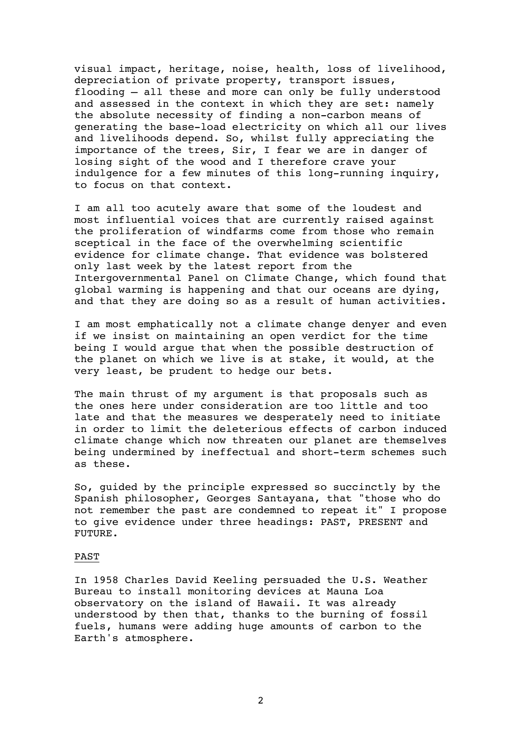visual impact, heritage, noise, health, loss of livelihood, depreciation of private property, transport issues, flooding — all these and more can only be fully understood and assessed in the context in which they are set: namely the absolute necessity of finding a non-carbon means of generating the base-load electricity on which all our lives and livelihoods depend. So, whilst fully appreciating the importance of the trees, Sir, I fear we are in danger of losing sight of the wood and I therefore crave your indulgence for a few minutes of this long-running inquiry, to focus on that context.

I am all too acutely aware that some of the loudest and most influential voices that are currently raised against the proliferation of windfarms come from those who remain sceptical in the face of the overwhelming scientific evidence for climate change. That evidence was bolstered only last week by the latest report from the Intergovernmental Panel on Climate Change, which found that global warming is happening and that our oceans are dying, and that they are doing so as a result of human activities.

I am most emphatically not a climate change denyer and even if we insist on maintaining an open verdict for the time being I would argue that when the possible destruction of the planet on which we live is at stake, it would, at the very least, be prudent to hedge our bets.

The main thrust of my argument is that proposals such as the ones here under consideration are too little and too late and that the measures we desperately need to initiate in order to limit the deleterious effects of carbon induced climate change which now threaten our planet are themselves being undermined by ineffectual and short-term schemes such as these.

So, guided by the principle expressed so succinctly by the Spanish philosopher, Georges Santayana, that "those who do not remember the past are condemned to repeat it" I propose to give evidence under three headings: PAST, PRESENT and FUTURE.

## PAST

In 1958 Charles David Keeling persuaded the U.S. Weather Bureau to install monitoring devices at Mauna Loa observatory on the island of Hawaii. It was already understood by then that, thanks to the burning of fossil fuels, humans were adding huge amounts of carbon to the Earth's atmosphere.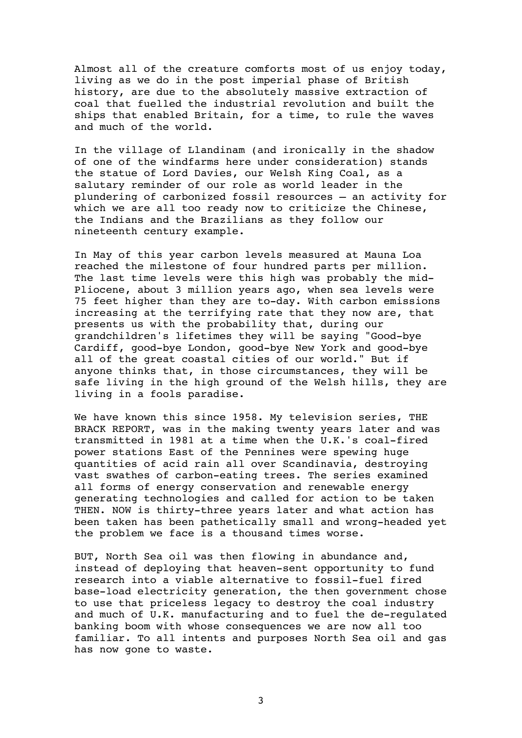Almost all of the creature comforts most of us enjoy today, living as we do in the post imperial phase of British history, are due to the absolutely massive extraction of coal that fuelled the industrial revolution and built the ships that enabled Britain, for a time, to rule the waves and much of the world.

In the village of Llandinam (and ironically in the shadow of one of the windfarms here under consideration) stands the statue of Lord Davies, our Welsh King Coal, as a salutary reminder of our role as world leader in the plundering of carbonized fossil resources — an activity for which we are all too ready now to criticize the Chinese, the Indians and the Brazilians as they follow our nineteenth century example.

In May of this year carbon levels measured at Mauna Loa reached the milestone of four hundred parts per million. The last time levels were this high was probably the mid-Pliocene, about 3 million years ago, when sea levels were 75 feet higher than they are to-day. With carbon emissions increasing at the terrifying rate that they now are, that presents us with the probability that, during our grandchildren's lifetimes they will be saying "Good-bye Cardiff, good-bye London, good-bye New York and good-bye all of the great coastal cities of our world." But if anyone thinks that, in those circumstances, they will be safe living in the high ground of the Welsh hills, they are living in a fools paradise.

We have known this since 1958. My television series, THE BRACK REPORT, was in the making twenty years later and was transmitted in 1981 at a time when the U.K.'s coal-fired power stations East of the Pennines were spewing huge quantities of acid rain all over Scandinavia, destroying vast swathes of carbon-eating trees. The series examined all forms of energy conservation and renewable energy generating technologies and called for action to be taken THEN. NOW is thirty-three years later and what action has been taken has been pathetically small and wrong-headed yet the problem we face is a thousand times worse.

BUT, North Sea oil was then flowing in abundance and, instead of deploying that heaven-sent opportunity to fund research into a viable alternative to fossil-fuel fired base-load electricity generation, the then government chose to use that priceless legacy to destroy the coal industry and much of U.K. manufacturing and to fuel the de-regulated banking boom with whose consequences we are now all too familiar. To all intents and purposes North Sea oil and gas has now gone to waste.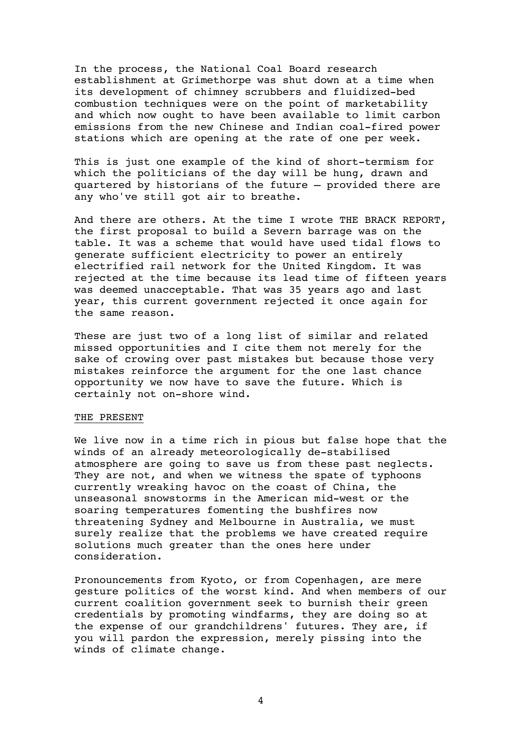In the process, the National Coal Board research establishment at Grimethorpe was shut down at a time when its development of chimney scrubbers and fluidized-bed combustion techniques were on the point of marketability and which now ought to have been available to limit carbon emissions from the new Chinese and Indian coal-fired power stations which are opening at the rate of one per week.

This is just one example of the kind of short-termism for which the politicians of the day will be hung, drawn and quartered by historians of the future – provided there are any who've still got air to breathe.

And there are others. At the time I wrote THE BRACK REPORT, the first proposal to build a Severn barrage was on the table. It was a scheme that would have used tidal flows to generate sufficient electricity to power an entirely electrified rail network for the United Kingdom. It was rejected at the time because its lead time of fifteen years was deemed unacceptable. That was 35 years ago and last year, this current government rejected it once again for the same reason.

These are just two of a long list of similar and related missed opportunities and I cite them not merely for the sake of crowing over past mistakes but because those very mistakes reinforce the argument for the one last chance opportunity we now have to save the future. Which is certainly not on-shore wind.

## THE PRESENT

We live now in a time rich in pious but false hope that the winds of an already meteorologically de-stabilised atmosphere are going to save us from these past neglects. They are not, and when we witness the spate of typhoons currently wreaking havoc on the coast of China, the unseasonal snowstorms in the American mid-west or the soaring temperatures fomenting the bushfires now threatening Sydney and Melbourne in Australia, we must surely realize that the problems we have created require solutions much greater than the ones here under consideration.

Pronouncements from Kyoto, or from Copenhagen, are mere gesture politics of the worst kind. And when members of our current coalition government seek to burnish their green credentials by promoting windfarms, they are doing so at the expense of our grandchildrens' futures. They are, if you will pardon the expression, merely pissing into the winds of climate change.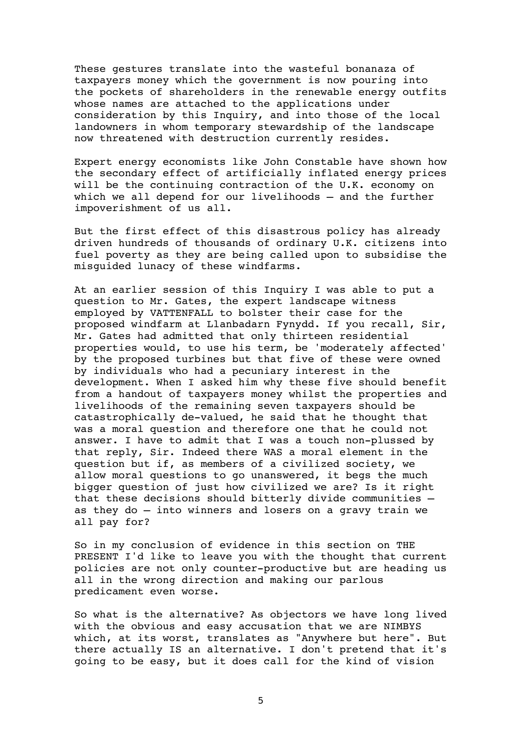These gestures translate into the wasteful bonanaza of taxpayers money which the government is now pouring into the pockets of shareholders in the renewable energy outfits whose names are attached to the applications under consideration by this Inquiry, and into those of the local landowners in whom temporary stewardship of the landscape now threatened with destruction currently resides.

Expert energy economists like John Constable have shown how the secondary effect of artificially inflated energy prices will be the continuing contraction of the U.K. economy on which we all depend for our livelihoods — and the further impoverishment of us all.

But the first effect of this disastrous policy has already driven hundreds of thousands of ordinary U.K. citizens into fuel poverty as they are being called upon to subsidise the misguided lunacy of these windfarms.

At an earlier session of this Inquiry I was able to put a question to Mr. Gates, the expert landscape witness employed by VATTENFALL to bolster their case for the proposed windfarm at Llanbadarn Fynydd. If you recall, Sir, Mr. Gates had admitted that only thirteen residential properties would, to use his term, be 'moderately affected' by the proposed turbines but that five of these were owned by individuals who had a pecuniary interest in the development. When I asked him why these five should benefit from a handout of taxpayers money whilst the properties and livelihoods of the remaining seven taxpayers should be catastrophically de-valued, he said that he thought that was a moral question and therefore one that he could not answer. I have to admit that I was a touch non-plussed by that reply, Sir. Indeed there WAS a moral element in the question but if, as members of a civilized society, we allow moral questions to go unanswered, it begs the much bigger question of just how civilized we are? Is it right that these decisions should bitterly divide communities as they do — into winners and losers on a gravy train we all pay for?

So in my conclusion of evidence in this section on THE PRESENT I'd like to leave you with the thought that current policies are not only counter-productive but are heading us all in the wrong direction and making our parlous predicament even worse.

So what is the alternative? As objectors we have long lived with the obvious and easy accusation that we are NIMBYS which, at its worst, translates as "Anywhere but here". But there actually IS an alternative. I don't pretend that it's going to be easy, but it does call for the kind of vision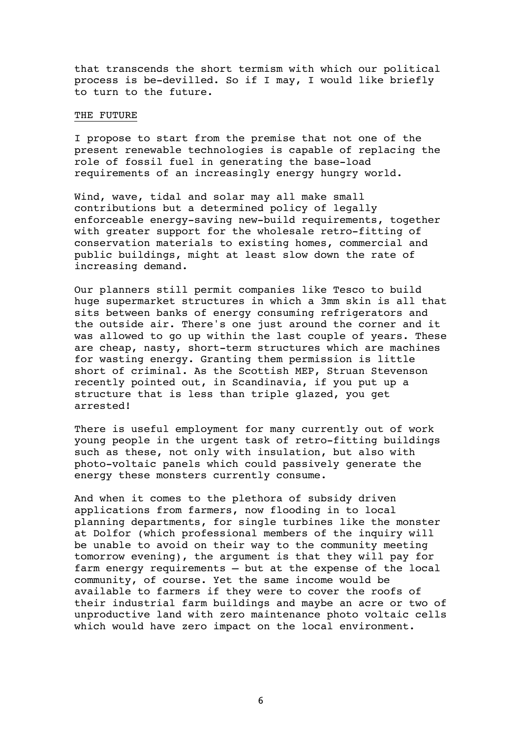that transcends the short termism with which our political process is be-devilled. So if I may, I would like briefly to turn to the future.

## THE FUTURE

I propose to start from the premise that not one of the present renewable technologies is capable of replacing the role of fossil fuel in generating the base-load requirements of an increasingly energy hungry world.

Wind, wave, tidal and solar may all make small contributions but a determined policy of legally enforceable energy-saving new-build requirements, together with greater support for the wholesale retro-fitting of conservation materials to existing homes, commercial and public buildings, might at least slow down the rate of increasing demand.

Our planners still permit companies like Tesco to build huge supermarket structures in which a 3mm skin is all that sits between banks of energy consuming refrigerators and the outside air. There's one just around the corner and it was allowed to go up within the last couple of years. These are cheap, nasty, short-term structures which are machines for wasting energy. Granting them permission is little short of criminal. As the Scottish MEP, Struan Stevenson recently pointed out, in Scandinavia, if you put up a structure that is less than triple glazed, you get arrested!

There is useful employment for many currently out of work young people in the urgent task of retro-fitting buildings such as these, not only with insulation, but also with photo-voltaic panels which could passively generate the energy these monsters currently consume.

And when it comes to the plethora of subsidy driven applications from farmers, now flooding in to local planning departments, for single turbines like the monster at Dolfor (which professional members of the inquiry will be unable to avoid on their way to the community meeting tomorrow evening), the argument is that they will pay for farm energy requirements — but at the expense of the local community, of course. Yet the same income would be available to farmers if they were to cover the roofs of their industrial farm buildings and maybe an acre or two of unproductive land with zero maintenance photo voltaic cells which would have zero impact on the local environment.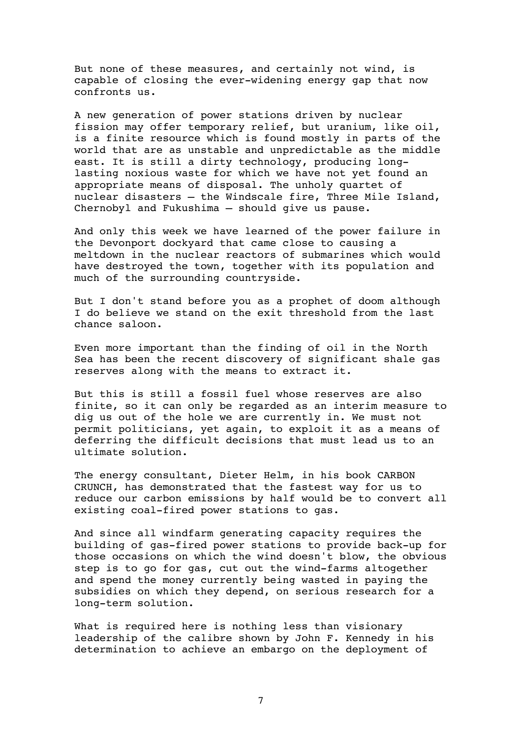But none of these measures, and certainly not wind, is capable of closing the ever-widening energy gap that now confronts us.

A new generation of power stations driven by nuclear fission may offer temporary relief, but uranium, like oil, is a finite resource which is found mostly in parts of the world that are as unstable and unpredictable as the middle east. It is still a dirty technology, producing longlasting noxious waste for which we have not yet found an appropriate means of disposal. The unholy quartet of nuclear disasters — the Windscale fire, Three Mile Island, Chernobyl and Fukushima — should give us pause.

And only this week we have learned of the power failure in the Devonport dockyard that came close to causing a meltdown in the nuclear reactors of submarines which would have destroyed the town, together with its population and much of the surrounding countryside.

But I don't stand before you as a prophet of doom although I do believe we stand on the exit threshold from the last chance saloon.

Even more important than the finding of oil in the North Sea has been the recent discovery of significant shale gas reserves along with the means to extract it.

But this is still a fossil fuel whose reserves are also finite, so it can only be regarded as an interim measure to dig us out of the hole we are currently in. We must not permit politicians, yet again, to exploit it as a means of deferring the difficult decisions that must lead us to an ultimate solution.

The energy consultant, Dieter Helm, in his book CARBON CRUNCH, has demonstrated that the fastest way for us to reduce our carbon emissions by half would be to convert all existing coal-fired power stations to gas.

And since all windfarm generating capacity requires the building of gas-fired power stations to provide back-up for those occasions on which the wind doesn't blow, the obvious step is to go for gas, cut out the wind-farms altogether and spend the money currently being wasted in paying the subsidies on which they depend, on serious research for a long-term solution.

What is required here is nothing less than visionary leadership of the calibre shown by John F. Kennedy in his determination to achieve an embargo on the deployment of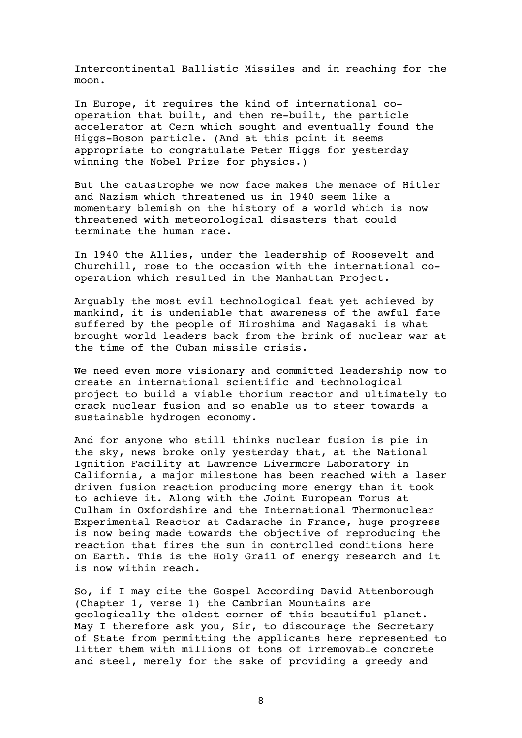Intercontinental Ballistic Missiles and in reaching for the moon.

In Europe, it requires the kind of international cooperation that built, and then re-built, the particle accelerator at Cern which sought and eventually found the Higgs-Boson particle. (And at this point it seems appropriate to congratulate Peter Higgs for yesterday winning the Nobel Prize for physics.)

But the catastrophe we now face makes the menace of Hitler and Nazism which threatened us in 1940 seem like a momentary blemish on the history of a world which is now threatened with meteorological disasters that could terminate the human race.

In 1940 the Allies, under the leadership of Roosevelt and Churchill, rose to the occasion with the international cooperation which resulted in the Manhattan Project.

Arguably the most evil technological feat yet achieved by mankind, it is undeniable that awareness of the awful fate suffered by the people of Hiroshima and Nagasaki is what brought world leaders back from the brink of nuclear war at the time of the Cuban missile crisis.

We need even more visionary and committed leadership now to create an international scientific and technological project to build a viable thorium reactor and ultimately to crack nuclear fusion and so enable us to steer towards a sustainable hydrogen economy.

And for anyone who still thinks nuclear fusion is pie in the sky, news broke only yesterday that, at the National Ignition Facility at Lawrence Livermore Laboratory in California, a major milestone has been reached with a laser driven fusion reaction producing more energy than it took to achieve it. Along with the Joint European Torus at Culham in Oxfordshire and the International Thermonuclear Experimental Reactor at Cadarache in France, huge progress is now being made towards the objective of reproducing the reaction that fires the sun in controlled conditions here on Earth. This is the Holy Grail of energy research and it is now within reach.

So, if I may cite the Gospel According David Attenborough (Chapter 1, verse 1) the Cambrian Mountains are geologically the oldest corner of this beautiful planet. May I therefore ask you, Sir, to discourage the Secretary of State from permitting the applicants here represented to litter them with millions of tons of irremovable concrete and steel, merely for the sake of providing a greedy and